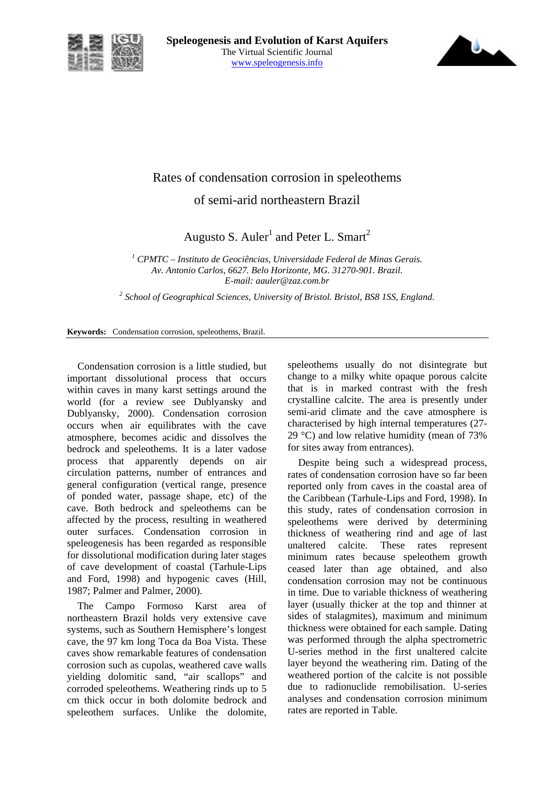



## Rates of condensation corrosion in speleothems of semi-arid northeastern Brazil

Augusto S. Auler<sup>1</sup> and Peter L. Smart<sup>2</sup>

<sup>1</sup> CPMTC – Instituto de Geociências, Universidade Federal de Minas Gerais. *Av. Antonio Carlos, 6627. Belo Horizonte, MG. 31270-901. Brazil. E-mail: aauler@zaz.com.br* 

<sup>2</sup> School of Geographical Sciences, University of Bristol. Bristol, BS8 1SS, England.

**Keywords:** Condensation corrosion, speleothems, Brazil.

Condensation corrosion is a little studied, but important dissolutional process that occurs within caves in many karst settings around the world (for a review see Dublyansky and Dublyansky, 2000). Condensation corrosion occurs when air equilibrates with the cave atmosphere, becomes acidic and dissolves the bedrock and speleothems. It is a later vadose process that apparently depends on air circulation patterns, number of entrances and general configuration (vertical range, presence of ponded water, passage shape, etc) of the cave. Both bedrock and speleothems can be affected by the process, resulting in weathered outer surfaces. Condensation corrosion in speleogenesis has been regarded as responsible for dissolutional modification during later stages of cave development of coastal (Tarhule-Lips and Ford, 1998) and hypogenic caves (Hill, 1987; Palmer and Palmer, 2000).

The Campo Formoso Karst area of northeastern Brazil holds very extensive cave systems, such as Southern Hemisphere's longest cave, the 97 km long Toca da Boa Vista. These caves show remarkable features of condensation corrosion such as cupolas, weathered cave walls yielding dolomitic sand, "air scallops" and corroded speleothems. Weathering rinds up to 5 cm thick occur in both dolomite bedrock and speleothem surfaces. Unlike the dolomite, speleothems usually do not disintegrate but change to a milky white opaque porous calcite that is in marked contrast with the fresh crystalline calcite. The area is presently under semi-arid climate and the cave atmosphere is characterised by high internal temperatures (27- 29 °C) and low relative humidity (mean of 73% for sites away from entrances).

Despite being such a widespread process, rates of condensation corrosion have so far been reported only from caves in the coastal area of the Caribbean (Tarhule-Lips and Ford, 1998). In this study, rates of condensation corrosion in speleothems were derived by determining thickness of weathering rind and age of last unaltered calcite. These rates represent minimum rates because speleothem growth ceased later than age obtained, and also condensation corrosion may not be continuous in time. Due to variable thickness of weathering layer (usually thicker at the top and thinner at sides of stalagmites), maximum and minimum thickness were obtained for each sample. Dating was performed through the alpha spectrometric U-series method in the first unaltered calcite layer beyond the weathering rim. Dating of the weathered portion of the calcite is not possible due to radionuclide remobilisation. U-series analyses and condensation corrosion minimum rates are reported in Table.